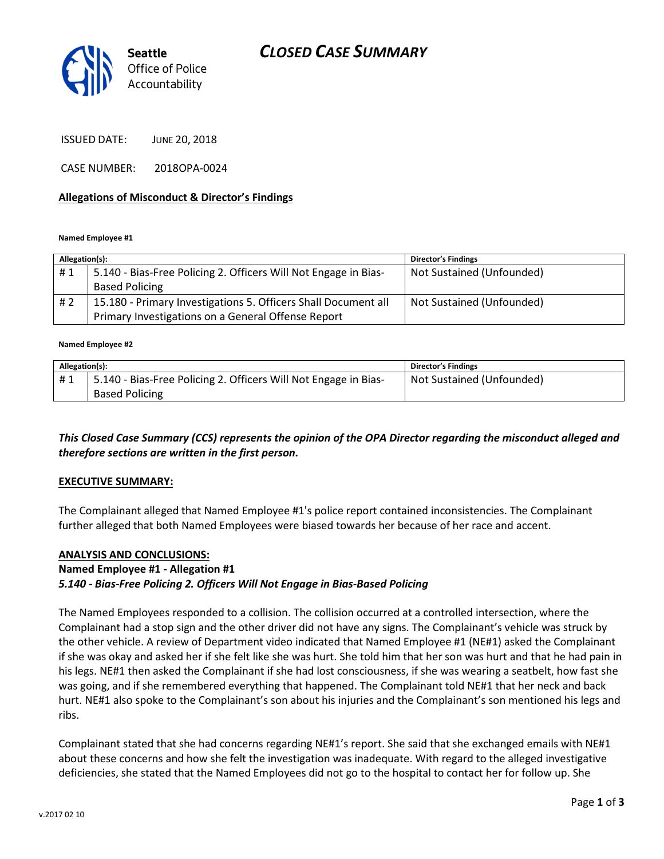

ISSUED DATE: JUNE 20, 2018

CASE NUMBER: 2018OPA-0024

### Allegations of Misconduct & Director's Findings

Named Employee #1

| Allegation(s): |                                                                 | <b>Director's Findings</b> |
|----------------|-----------------------------------------------------------------|----------------------------|
| #1             | 5.140 - Bias-Free Policing 2. Officers Will Not Engage in Bias- | Not Sustained (Unfounded)  |
|                | <b>Based Policing</b>                                           |                            |
| # 2            | 15.180 - Primary Investigations 5. Officers Shall Document all  | Not Sustained (Unfounded)  |
|                | Primary Investigations on a General Offense Report              |                            |

#### Named Employee #2

| Allegation(s): |                                                                 | <b>Director's Findings</b> |
|----------------|-----------------------------------------------------------------|----------------------------|
| #1             | 5.140 - Bias-Free Policing 2. Officers Will Not Engage in Bias- | Not Sustained (Unfounded)  |
|                | <b>Based Policing</b>                                           |                            |

### This Closed Case Summary (CCS) represents the opinion of the OPA Director regarding the misconduct alleged and therefore sections are written in the first person.

### EXECUTIVE SUMMARY:

The Complainant alleged that Named Employee #1's police report contained inconsistencies. The Complainant further alleged that both Named Employees were biased towards her because of her race and accent.

### ANALYSIS AND CONCLUSIONS:

### Named Employee #1 - Allegation #1

### 5.140 - Bias-Free Policing 2. Officers Will Not Engage in Bias-Based Policing

The Named Employees responded to a collision. The collision occurred at a controlled intersection, where the Complainant had a stop sign and the other driver did not have any signs. The Complainant's vehicle was struck by the other vehicle. A review of Department video indicated that Named Employee #1 (NE#1) asked the Complainant if she was okay and asked her if she felt like she was hurt. She told him that her son was hurt and that he had pain in his legs. NE#1 then asked the Complainant if she had lost consciousness, if she was wearing a seatbelt, how fast she was going, and if she remembered everything that happened. The Complainant told NE#1 that her neck and back hurt. NE#1 also spoke to the Complainant's son about his injuries and the Complainant's son mentioned his legs and ribs.

Complainant stated that she had concerns regarding NE#1's report. She said that she exchanged emails with NE#1 about these concerns and how she felt the investigation was inadequate. With regard to the alleged investigative deficiencies, she stated that the Named Employees did not go to the hospital to contact her for follow up. She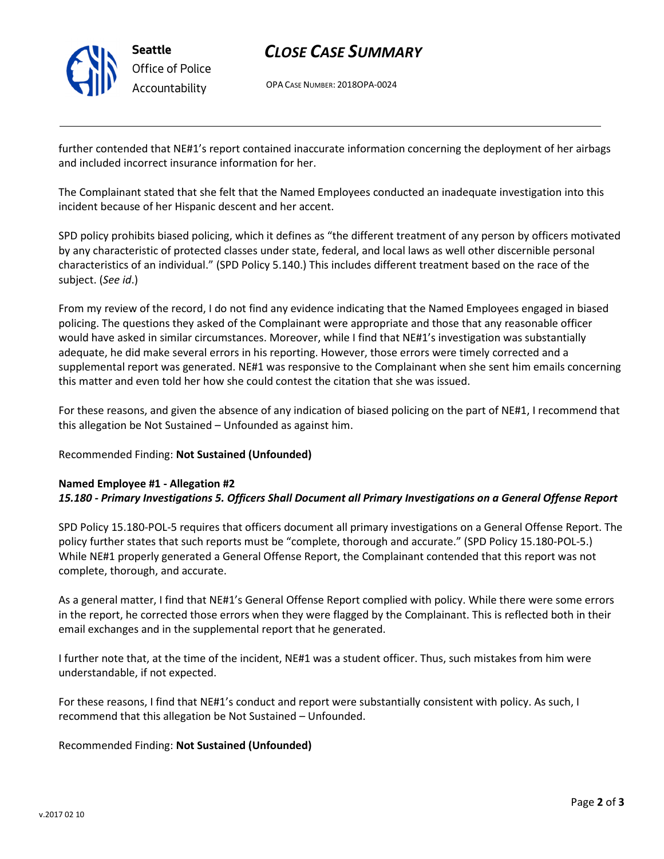

# Office of Police Accountability

# CLOSE CASE SUMMARY

OPA CASE NUMBER: 2018OPA-0024

further contended that NE#1's report contained inaccurate information concerning the deployment of her airbags and included incorrect insurance information for her.

The Complainant stated that she felt that the Named Employees conducted an inadequate investigation into this incident because of her Hispanic descent and her accent.

SPD policy prohibits biased policing, which it defines as "the different treatment of any person by officers motivated by any characteristic of protected classes under state, federal, and local laws as well other discernible personal characteristics of an individual." (SPD Policy 5.140.) This includes different treatment based on the race of the subject. (See id.)

From my review of the record, I do not find any evidence indicating that the Named Employees engaged in biased policing. The questions they asked of the Complainant were appropriate and those that any reasonable officer would have asked in similar circumstances. Moreover, while I find that NE#1's investigation was substantially adequate, he did make several errors in his reporting. However, those errors were timely corrected and a supplemental report was generated. NE#1 was responsive to the Complainant when she sent him emails concerning this matter and even told her how she could contest the citation that she was issued.

For these reasons, and given the absence of any indication of biased policing on the part of NE#1, I recommend that this allegation be Not Sustained – Unfounded as against him.

## Recommended Finding: Not Sustained (Unfounded)

# Named Employee #1 - Allegation #2

15.180 - Primary Investigations 5. Officers Shall Document all Primary Investigations on a General Offense Report

SPD Policy 15.180-POL-5 requires that officers document all primary investigations on a General Offense Report. The policy further states that such reports must be "complete, thorough and accurate." (SPD Policy 15.180-POL-5.) While NE#1 properly generated a General Offense Report, the Complainant contended that this report was not complete, thorough, and accurate.

As a general matter, I find that NE#1's General Offense Report complied with policy. While there were some errors in the report, he corrected those errors when they were flagged by the Complainant. This is reflected both in their email exchanges and in the supplemental report that he generated.

I further note that, at the time of the incident, NE#1 was a student officer. Thus, such mistakes from him were understandable, if not expected.

For these reasons, I find that NE#1's conduct and report were substantially consistent with policy. As such, I recommend that this allegation be Not Sustained – Unfounded.

## Recommended Finding: Not Sustained (Unfounded)